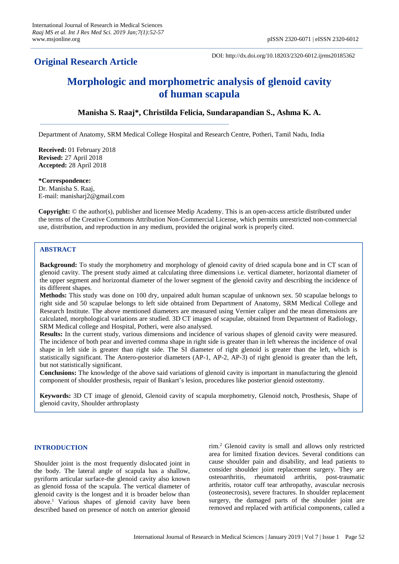## **Original Research Article**

DOI: http://dx.doi.org/10.18203/2320-6012.ijrms20185362

# **Morphologic and morphometric analysis of glenoid cavity of human scapula**

## **Manisha S. Raaj\*, Christilda Felicia, Sundarapandian S., Ashma K. A.**

Department of Anatomy, SRM Medical College Hospital and Research Centre, Potheri, Tamil Nadu, India

**Received:** 01 February 2018 **Revised:** 27 April 2018 **Accepted:** 28 April 2018

**\*Correspondence:** Dr. Manisha S. Raaj, E-mail: manisharj2@gmail.com

**Copyright:** © the author(s), publisher and licensee Medip Academy. This is an open-access article distributed under the terms of the Creative Commons Attribution Non-Commercial License, which permits unrestricted non-commercial use, distribution, and reproduction in any medium, provided the original work is properly cited.

## **ABSTRACT**

**Background:** To study the morphometry and morphology of glenoid cavity of dried scapula bone and in CT scan of glenoid cavity. The present study aimed at calculating three dimensions i.e. vertical diameter, horizontal diameter of the upper segment and horizontal diameter of the lower segment of the glenoid cavity and describing the incidence of its different shapes.

**Methods:** This study was done on 100 dry, unpaired adult human scapulae of unknown sex. 50 scapulae belongs to right side and 50 scapulae belongs to left side obtained from Department of Anatomy, SRM Medical College and Research Institute. The above mentioned diameters are measured using Vernier caliper and the mean dimensions are calculated, morphological variations are studied. 3D CT images of scapulae, obtained from Department of Radiology, SRM Medical college and Hospital, Potheri, were also analysed.

**Results:** In the current study, various dimensions and incidence of various shapes of glenoid cavity were measured. The incidence of both pear and inverted comma shape in right side is greater than in left whereas the incidence of oval shape in left side is greater than right side. The SI diameter of right glenoid is greater than the left, which is statistically significant. The Antero-posterior diameters (AP-1, AP-2, AP-3) of right glenoid is greater than the left, but not statistically significant.

**Conclusions:** The knowledge of the above said variations of glenoid cavity is important in manufacturing the glenoid component of shoulder prosthesis, repair of Bankart's lesion, procedures like posterior glenoid osteotomy.

**Keywords:** 3D CT image of glenoid, Glenoid cavity of scapula morphometry, Glenoid notch, Prosthesis, Shape of glenoid cavity, Shoulder arthroplasty

## **INTRODUCTION**

Shoulder joint is the most frequently dislocated joint in the body. The lateral angle of scapula has a shallow, pyriform articular surface-the glenoid cavity also known as glenoid fossa of the scapula. The vertical diameter of glenoid cavity is the longest and it is broader below than above.<sup>1</sup> Various shapes of glenoid cavity have been described based on presence of notch on anterior glenoid

rim. <sup>2</sup> Glenoid cavity is small and allows only restricted area for limited fixation devices. Several conditions can cause shoulder pain and disability, and lead patients to consider shoulder joint replacement surgery. They are osteoarthritis, rheumatoid arthritis, post-traumatic arthritis, rotator cuff tear arthropathy, avascular necrosis (osteonecrosis), severe fractures. In shoulder replacement surgery, the damaged parts of the shoulder joint are removed and replaced with artificial components, called a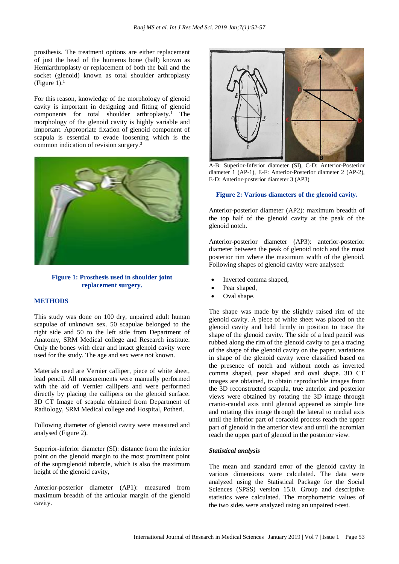prosthesis. The treatment options are either replacement of just the head of the humerus bone (ball) known as Hemiarthroplasty or replacement of both the ball and the socket (glenoid) known as total shoulder arthroplasty (Figure 1). $<sup>1</sup>$ </sup>

For this reason, knowledge of the morphology of glenoid cavity is important in designing and fitting of glenoid components for total shoulder arthroplasty. <sup>1</sup> The morphology of the glenoid cavity is highly variable and important. Appropriate fixation of glenoid component of scapula is essential to evade loosening which is the common indication of revision surgery. 3



**Figure 1: Prosthesis used in shoulder joint replacement surgery.**

#### **METHODS**

This study was done on 100 dry, unpaired adult human scapulae of unknown sex. 50 scapulae belonged to the right side and 50 to the left side from Department of Anatomy, SRM Medical college and Research institute. Only the bones with clear and intact glenoid cavity were used for the study. The age and sex were not known.

Materials used are Vernier calliper, piece of white sheet, lead pencil. All measurements were manually performed with the aid of Vernier callipers and were performed directly by placing the callipers on the glenoid surface. 3D CT Image of scapula obtained from Department of Radiology, SRM Medical college and Hospital, Potheri.

Following diameter of glenoid cavity were measured and analysed (Figure 2).

Superior-inferior diameter (SI): distance from the inferior point on the glenoid margin to the most prominent point of the supraglenoid tubercle, which is also the maximum height of the glenoid cavity,

Anterior-posterior diameter (AP1): measured from maximum breadth of the articular margin of the glenoid cavity.



A-B: Superior-Inferior diameter (SI), C-D: Anterior-Posterior diameter 1 (AP-1), E-F: Anterior-Posterior diameter 2 (AP-2), E-D: Anterior-posterior diameter 3 (AP3)

#### **Figure 2: Various diameters of the glenoid cavity.**

Anterior-posterior diameter (AP2): maximum breadth of the top half of the glenoid cavity at the peak of the glenoid notch.

Anterior-posterior diameter (AP3): anterior-posterior diameter between the peak of glenoid notch and the most posterior rim where the maximum width of the glenoid. Following shapes of glenoid cavity were analysed:

- Inverted comma shaped,
- Pear shaped,
- Oval shape.

The shape was made by the slightly raised rim of the glenoid cavity. A piece of white sheet was placed on the glenoid cavity and held firmly in position to trace the shape of the glenoid cavity. The side of a lead pencil was rubbed along the rim of the glenoid cavity to get a tracing of the shape of the glenoid cavity on the paper. variations in shape of the glenoid cavity were classified based on the presence of notch and without notch as inverted comma shaped, pear shaped and oval shape. 3D CT images are obtained, to obtain reproducible images from the 3D reconstructed scapula, true anterior and posterior views were obtained by rotating the 3D image through cranio-caudal axis until glenoid appeared as simple line and rotating this image through the lateral to medial axis until the inferior part of coracoid process reach the upper part of glenoid in the anterior view and until the acromian reach the upper part of glenoid in the posterior view.

#### *Statistical analysis*

The mean and standard error of the glenoid cavity in various dimensions were calculated. The data were analyzed using the Statistical Package for the Social Sciences (SPSS) version 15.0. Group and descriptive statistics were calculated. The morphometric values of the two sides were analyzed using an unpaired t-test.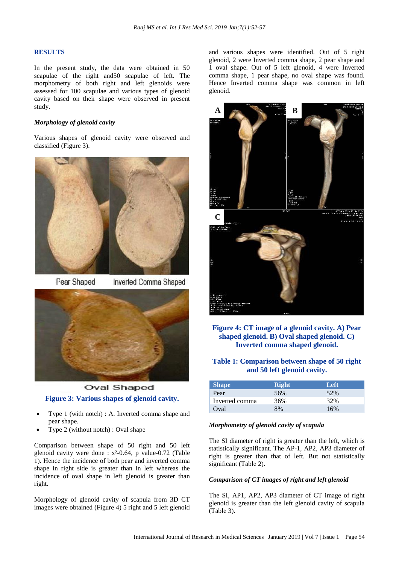#### **RESULTS**

In the present study, the data were obtained in 50 scapulae of the right and50 scapulae of left. The morphometry of both right and left glenoids were assessed for 100 scapulae and various types of glenoid cavity based on their shape were observed in present study.

## *Morphology of glenoid cavity*

Various shapes of glenoid cavity were observed and classified (Figure 3).



Pear Shaped

Inverted Comma Shaped



**Oval Shaped Figure 3: Various shapes of glenoid cavity.**

- Type 1 (with notch) : A. Inverted comma shape and pear shape.
- Type 2 (without notch) : Oval shape

Comparison between shape of 50 right and 50 left glenoid cavity were done :  $x^2$ -0.64, p value-0.72 (Table 1). Hence the incidence of both pear and inverted comma shape in right side is greater than in left whereas the incidence of oval shape in left glenoid is greater than right.

Morphology of glenoid cavity of scapula from 3D CT images were obtained (Figure 4) 5 right and 5 left glenoid and various shapes were identified. Out of 5 right glenoid, 2 were Inverted comma shape, 2 pear shape and 1 oval shape. Out of 5 left glenoid, 4 were Inverted comma shape, 1 pear shape, no oval shape was found. Hence Inverted comma shape was common in left glenoid.



## **Figure 4: CT image of a glenoid cavity. A) Pear shaped glenoid. B) Oval shaped glenoid. C) Inverted comma shaped glenoid.**

## **Table 1: Comparison between shape of 50 right and 50 left glenoid cavity.**

| <b>Shape</b>   | <b>Right</b> | Left |
|----------------|--------------|------|
| Pear           | 56%          | 52%  |
| Inverted comma | 36%          | 32%  |
| Oval           | 8%           | 16%  |

#### *Morphometry of glenoid cavity of scapula*

The SI diameter of right is greater than the left, which is statistically significant. The AP-1, AP2, AP3 diameter of right is greater than that of left. But not statistically significant (Table 2).

#### *Comparison of CT images of right and left glenoid*

The SI, AP1, AP2, AP3 diameter of CT image of right glenoid is greater than the left glenoid cavity of scapula (Table 3).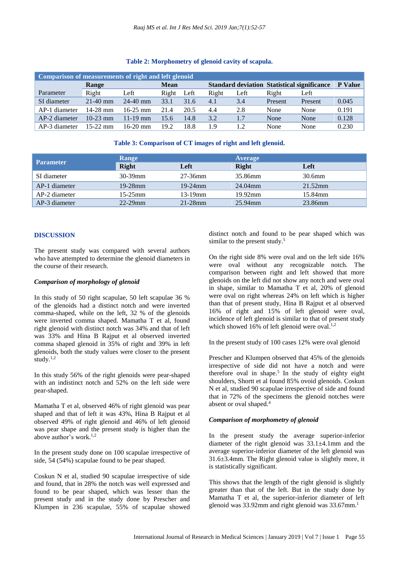| Comparison of measurements of right and left glenoid |            |              |             |      |       |      |         |                                                    |                |
|------------------------------------------------------|------------|--------------|-------------|------|-------|------|---------|----------------------------------------------------|----------------|
|                                                      | Range      |              | <b>Mean</b> |      |       |      |         | <b>Standard deviation Statistical significance</b> | <b>P</b> Value |
| Parameter                                            | Right      | Left         | Right       | Left | Right | Left | Right   | Left                                               |                |
| SI diameter                                          | $21-40$ mm | $24-40$ mm   | 33.1        | 31.6 | 4.1   | 3.4  | Present | Present                                            | 0.045          |
| AP-1 diameter                                        | $14-28$ mm | $16-25$ mm   | 21.4        | 20.5 | 4.4   | 2.8  | None    | None                                               | 0.191          |
| AP-2 diameter                                        | $10-23$ mm | $11 - 19$ mm | 15.6        | 14.8 | 3.2   | 1.7  | None    | None                                               | 0.128          |
| AP-3 diameter                                        | $15-22$ mm | $16-20$ mm   | 19.2        | 18.8 | 1.9   | 12   | None    | None                                               | 0.230          |

#### **Table 2: Morphometry of glenoid cavity of scapula.**

## **Table 3: Comparison of CT images of right and left glenoid.**

| <b>Parameter</b> | Range        |            | <b>Average</b> |            |  |
|------------------|--------------|------------|----------------|------------|--|
|                  | <b>Right</b> | Left       | <b>Right</b>   | Left       |  |
| SI diameter      | $30 - 39$ mm | 27-36mm    | 35.86mm        | 30.6mm     |  |
| AP-1 diameter    | $19-28$ mm   | 19-24 $mm$ | 24.04mm        | $21.52$ mm |  |
| AP-2 diameter    | $15-25$ mm   | $13-19$ mm | $19.92$ mm     | 15.84mm    |  |
| AP-3 diameter    | $22 - 29$ mm | $21-28$ mm | 25.94mm        | 23.86mm    |  |

#### **DISCUSSION**

The present study was compared with several authors who have attempted to determine the glenoid diameters in the course of their research.

## *Comparison of morphology of glenoid*

In this study of 50 right scapulae, 50 left scapulae 36 % of the glenoids had a distinct notch and were inverted comma-shaped, while on the left, 32 % of the glenoids were inverted comma shaped. Mamatha T et al, found right glenoid with distinct notch was 34% and that of left was 33% and Hina B Rajput et al observed inverted comma shaped glenoid in 35% of right and 39% in left glenoids, both the study values were closer to the present study.1,2

In this study 56% of the right glenoids were pear-shaped with an indistinct notch and 52% on the left side were pear-shaped.

Mamatha T et al, observed 46% of right glenoid was pear shaped and that of left it was 43%, Hina B Rajput et al observed 49% of right glenoid and 46% of left glenoid was pear shape and the present study is higher than the above author's work. $1,2$ 

In the present study done on 100 scapulae irrespective of side, 54 (54%) scapulae found to be pear shaped.

Coskun N et al, studied 90 scapulae irrespective of side and found, that in 28% the notch was well expressed and found to be pear shaped, which was lesser than the present study and in the study done by Prescher and Klumpen in 236 scapulae, 55% of scapulae showed distinct notch and found to be pear shaped which was similar to the present study.<sup>5</sup>

On the right side 8% were oval and on the left side 16% were oval without any recognizable notch. The comparison between right and left showed that more glenoids on the left did not show any notch and were oval in shape, similar to Mamatha T et al, 20% of glenoid were oval on right whereas 24% on left which is higher than that of present study, Hina B Rajput et al observed 16% of right and 15% of left glenoid were oval, incidence of left glenoid is similar to that of present study which showed 16% of left glenoid were oval. $^{1,2}$ 

In the present study of 100 cases 12% were oval glenoid

Prescher and Klumpen observed that 45% of the glenoids irrespective of side did not have a notch and were therefore oval in shape. 5 In the study of eighty eight shoulders, Shortt et al found 85% ovoid glenoids. Coskun N et al, studied 90 scapulae irrespective of side and found that in 72% of the specimens the glenoid notches were absent or oval shaped.<sup>4</sup>

#### *Comparison of morphometry of glenoid*

In the present study the average superior-inferior diameter of the right glenoid was 33.1±4.1mm and the average superior-inferior diameter of the left glenoid was 31.6±3.4mm. The Right glenoid value is slightly more, it is statistically significant.

This shows that the length of the right glenoid is slightly greater than that of the left. But in the study done by Mamatha T et al, the superior-inferior diameter of left glenoid was 33.92mm and right glenoid was 33.67mm.<sup>1</sup>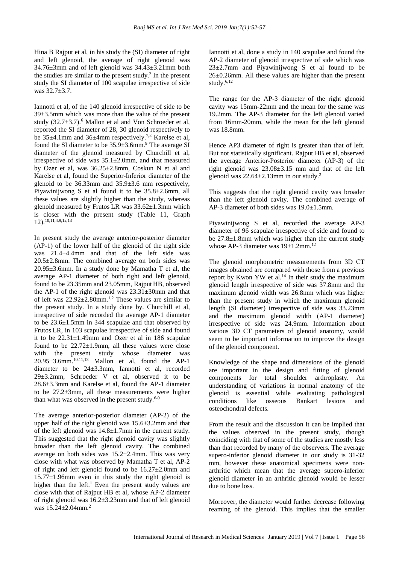Hina B Rajput et al, in his study the (SI) diameter of right and left glenoid, the average of right glenoid was 34.76±3mm and of left glenoid was 34.43±3.21mm both the studies are similar to the present study. $2$  In the present study the SI diameter of 100 scapulae irrespective of side was 32.7±3.7.

Iannotti et al, of the 140 glenoid irrespective of side to be 39±3.5mm which was more than the value of the present study  $(32.7\pm3.7)$ .<sup>6</sup> Mallon et al and Von Schroeder et al, reported the SI diameter of 28, 30 glenoid respectively to be 35±4.1mm and 36±4mm respectively.7,8 Karelse et al, found the SI diameter to be  $35.9\pm3.6$  mm.<sup>9</sup> The average SI diameter of the glenoid measured by Churchill et al, irrespective of side was 35.1±2.0mm, and that measured by Ozer et al, was 36.25±2.8mm, Coskun N et al and Karelse et al, found the Superior-Inferior diameter of the glenoid to be 36.33mm and 35.9±3.6 mm respectively, Piyawinijwong S et al found it to be 35.8±2.6mm, all these values are slightly higher than the study, whereas glenoid measured by Frutos LR was 33.62±1.3mm which is closer with the present study (Table 11, Graph 12). 10,11,4,9,12,13

In present study the average anterior-posterior diameter (AP-1) of the lower half of the glenoid of the right side was 21.4±4.4mm and that of the left side was 20.5±2.8mm. The combined average on both sides was 20.95±3.6mm. In a study done by Mamatha T et al, the average AP-1 diameter of both right and left glenoid, found to be 23.35mm and 23.05mm, Rajput HB, observed the AP-1 of the right glenoid was  $23.31\pm30$ mm and that of left was  $22.92\pm2.80$ mm.<sup>1,2</sup> These values are similar to the present study. In a study done by. Churchill et al, irrespective of side recorded the average AP-1 diameter to be 23.6±1.5mm in 344 scapulae and that observed by Frutos LR, in 103 scapulae irrespective of side and found it to be 22.31±1.49mm and Ozer et al in 186 scapulae found to be  $22.72 \pm 1.9$  mm, all these values were close with the present study whose diameter was 20.95±3.6mm.10,11,13 Mallon et al, found the AP-1 diameter to be 24±3.3mm, Iannotti et al, recorded 29±3.2mm, Schroeder V et al, observed it to be 28.6±3.3mm and Karelse et al, found the AP-1 diameter to be 27.2±3mm, all these measurements were higher than what was observed in the present study. $6-9$ 

The average anterior-posterior diameter (AP-2) of the upper half of the right glenoid was 15.6±3.2mm and that of the left glenoid was 14.8±1.7mm in the current study. This suggested that the right glenoid cavity was slightly broader than the left glenoid cavity. The combined average on both sides was 15.2±2.4mm. This was very close with what was observed by Mamatha T et al, AP-2 of right and left glenoid found to be  $16.27 \pm 2.0$ mm and  $15.77 \pm 1.96$  mm even in this study the right glenoid is higher than the left. $1$  Even the present study values are close with that of Rajput HB et al, whose AP-2 diameter of right glenoid was 16.2±3.23mm and that of left glenoid was  $15.24 \pm 2.04$  mm.<sup>2</sup>

Iannotti et al, done a study in 140 scapulae and found the AP-2 diameter of glenoid irrespective of side which was 23±2.7mm and Piyawinijwong S et al found to be 26±0.26mm. All these values are higher than the present study. $6,12$ 

The range for the AP-3 diameter of the right glenoid cavity was 15mm-22mm and the mean for the same was 19.2mm. The AP-3 diameter for the left glenoid varied from 16mm-20mm, while the mean for the left glenoid was 18.8mm.

Hence AP3 diameter of right is greater than that of left. But not statistically significant. Rajput HB et al, observed the average Anterior-Posterior diameter (AP-3) of the right glenoid was 23.08±3.15 mm and that of the left glenoid was  $22.64 \pm 2.13$  mm in our study.<sup>2</sup>

This suggests that the right glenoid cavity was broader than the left glenoid cavity. The combined average of AP-3 diameter of both sides was 19.0±1.5mm.

Piyawinijwong S et al, recorded the average AP-3 diameter of 96 scapulae irrespective of side and found to be 27.8±1.8mm which was higher than the current study whose AP-3 diameter was  $19\pm1.2$ mm.<sup>12</sup>

The glenoid morphometric measurements from 3D CT images obtained are compared with those from a previous report by Kwon YW et al. $^{14}$  In their study the maximum glenoid length irrespective of side was 37.8mm and the maximum glenoid width was 26.8mm which was higher than the present study in which the maximum glenoid length (SI diameter) irrespective of side was 33.23mm and the maximum glenoid width (AP-1 diameter) irrespective of side was 24.9mm. Information about various 3D CT parameters of glenoid anatomy, would seem to be important information to improve the design of the glenoid component.

Knowledge of the shape and dimensions of the glenoid are important in the design and fitting of glenoid components for total shoulder arthroplasty. An understanding of variations in normal anatomy of the glenoid is essential while evaluating pathological conditions like osseous Bankart lesions and osteochondral defects.

From the result and the discussion it can be implied that the values observed in the present study, though coinciding with that of some of the studies are mostly less than that recorded by many of the observers. The average supero-inferior glenoid diameter in our study is 31-32 mm, however these anatomical specimens were nonarthritic which mean that the average supero-inferior glenoid diameter in an arthritic glenoid would be lesser due to bone loss.

Moreover, the diameter would further decrease following reaming of the glenoid. This implies that the smaller